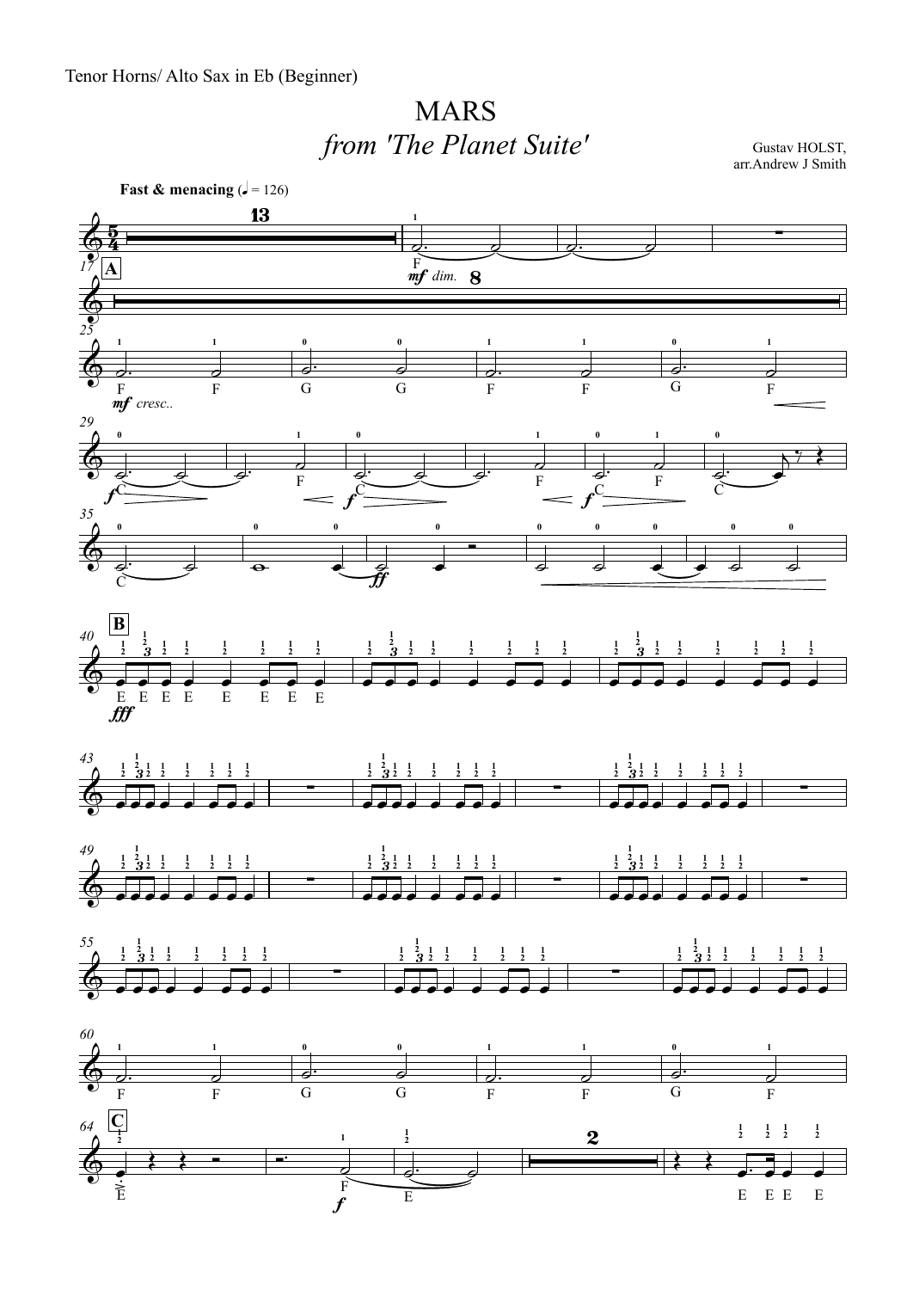## MARS*from 'The Planet Suite'*

Gustav HOLST, arr.Andrew J Smith